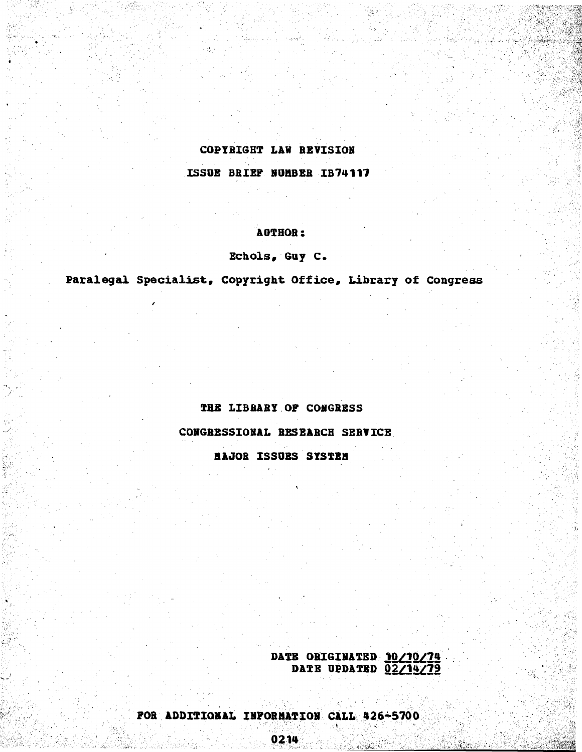# COPYRIGHT **LAW** REVISION

ISSUE BRIEF NUMBER IB74117

### **AUTHOR:**

## Echols, Guy **C.**

Paralegal Specialist, Copyright Office, Library of Congress

## THE LIBRARY OF **CONGRESS**

**CONGRESSIONAL** RESEARCH SERVICE

**BAJOR ISSUBS** SYSTEM

DATE ORIGINATED 10/10/74 DATE **UPDATED Q2/1279**

> : ;tt

.I:i

;;:· ;·· ::1;:' ;;;

3:14<br>V:: 74

 $\mathbb{Z}_2$  :

 $\mathcal{A}_{\mathcal{B}}$  , where  $\mathcal{A}_{\mathcal{B}}$  ,  $\mathcal{A}_{\mathcal{B}}$ 

t: 1920-1939<br>Si

i--n

::;: r··· ····

::

FOR **ADDITIONAL INFORMATION CALL** 426-5700.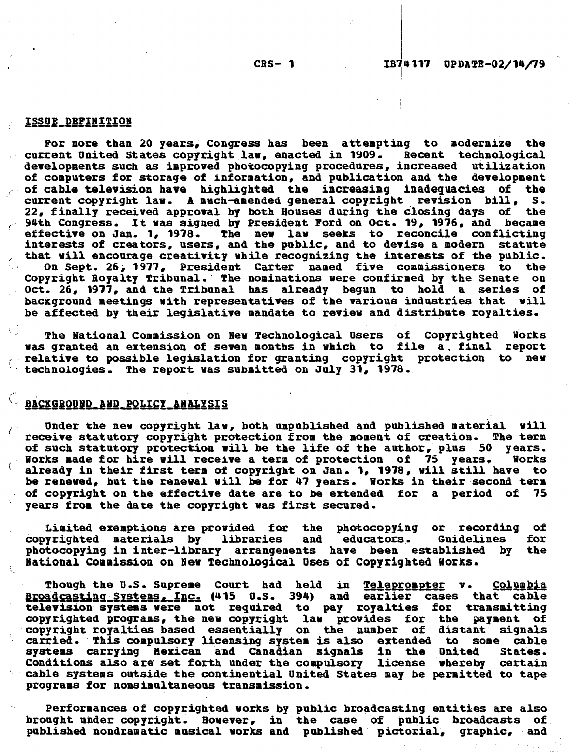#### <u>ISSUE DEPINITION</u>

For more than 20 years, Congress has been attempting to modernize the rent United States copyright law, enacted in 1909. Recent technological current United States copyright law, enacted in 1909. Recent technological<br>developments such as improved photocopying procedures, increased utilization developments such as improved photocopying procedures, increased utilization<br>of computers for storage of information, and publication and the development of computers for storage of information, and publication and the **.** of cable television have highlighted the increasing inadequacies of the current copyright law. **A** much-amended general copyright revision bill, **S.** 22, finally received approval by both Houses during the closing days 94th Congress. It was signed **by** President Ford on Oct. **19, 1976,** and became interests of creators, users, and the public, and to devise a modern statute that will encourage creativity while recognizing the interests of the public. **On Sept. 26, 1977, President Carter named five commissioners to the Separate Commissioners on the Separate Commission<br>Wright Royalty Tribunal, The nominations were confirmed by the Sepate on** Copyright Royalty Tribunal. The nominations were confirmed by the Senate Oct. **26, 1977,** and the Tribunal has already begun to hold a series of background meetings with representatives of the various industries that will be affected **by** their legislative mandate to review and distribute royalties.

The National Commission on New Technological Users of Copyrighted Works was granted an extension of seven months in which to file a, final report<br>relative to possible legislation for granting copyright protection to new relative to possible legislation for granting copyright protection to new technologies. The report was submitted on July **31, 1978.**

## **LEACKGROUND AND POLICY ANALYSIS**

Under the new copyright law, both unpublished and published material will receive statutory copyright protection from the moment of creation. The term of such statutory protection will be the life of the author, plus **50** years. Works **made** for hire will receive a term of protection of **75** years, Works works made for nire will receive a term or protection or 75 years. Works<br>already in their first term of copyright on Jan. 1, 1978, will still have to be renewed, but the renewal will **be** for 47 years. Works in their second term of copyright on the effective date are to be extended for a period of **<sup>75</sup>** years from the date the copyright was first secured.

Limited exemptions are provided for the photocopying or recording of copyrighted materials **by** libraries and educators. Guidelines for photocopying in inter-library arrangements have been established **by** the National Commission on New Technological Uses of Copyrighted Works.

**Though the U.S. Supreme Court had held in Teleprompter v. Columbia** Broadcasting\_Systems **\_Inc.** (415 **U.S.** 394) and earlier cases that cable television systems were not required to pay royalties for transmitting copyrighted programs, the new copyright law provides for the payment of copyright royalties based essentially on the number of distant signals carried. This compulsory licensing system is also extended to some cable systems carrying Hexican and Canadian signals in the United Conditions also are set forth under the compulsory license whereby certain cable systems outside the continential United States may be permitted to tape programs for nonsimultaneous transmission.

Performances of copyrighted works **by** public broadcasting entities are also brought under copyright. However, in the case of public broadcasts of published nondramatic musical works and published pictorial, graphic, and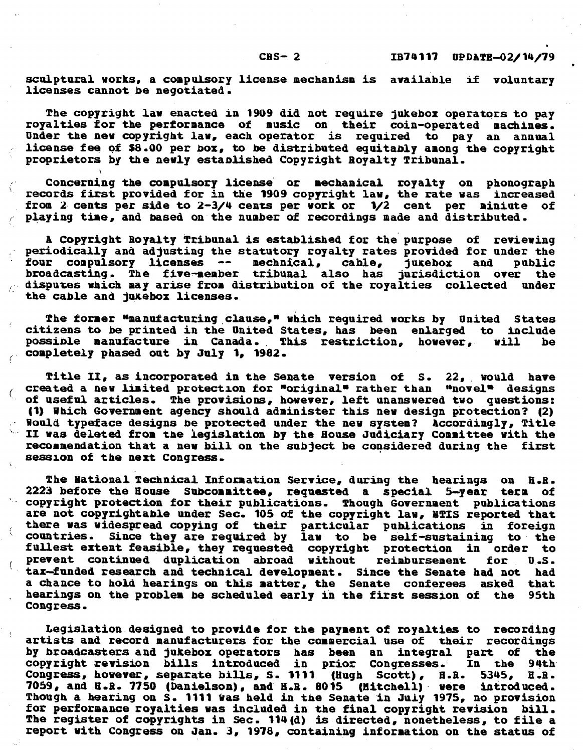**CBS-** 2

sculptural works, a compulsory license mechanism is available if voluntary licenses cannot be negotiated.

The copyright law enacted **in 1909** did not require jukebox operators to pay royalties for the performance of music on their coin-operated machines. Under the new copyright law, each operator is required to pay an annual license fee **of \$8.00** per box, to be distributed equitably among the copyright proprietors **by** the newly established Copyright Royalty Tribunal.

Concerning the compulsory license or mechanical royalty on phonograph records first provided for **in** the **1909** copyright law, the rate was increased from 2 cents per side to 2-3/4 cents per work or 1/2 cent per miniute of playing time, and based on the number of recordings made and distributed.

ť.

 $\mathcal{L}_{\mathcal{L}}$ 

A Copyright Royalty Tribunal is established for the purpose of reviewing periodically and adjusting the statutory royalty rates provided for under the four compulsory licenses  $\leftarrow$  mechaical, cable, jukebox and public broadcasting. The five-member tribunal also has jurisdiction over the  $\sim$  disputes which may arise from distribution of the royalties collected under the cable and jukebox licenses.

The former "manufacturing clause," which required works **by** United States citizens to be printed in the United States, has been enlarged to include possible manufacture in Canada. This restriction, however, will .completely phased out **by July** 1, **1982.**

Title **II,** as incorporated in the Senate version of **S.** 22, would have created a new limited protection for "original" rather than "novel" designs "of useful articles. The provisions, however, left unanswered two questions: **(1)** Which Government agency should administer this new design protection? (2)  $\,$  Would typeface designs be protected under the new system? Accordingly, Title II was deleted from the legislation **by** the House Judiciary Committee with the recommendation that a new bill on the subject be considered during the first session of the next Congress.

The National Technical Information Service, during the hearings on **H.R. 2223** before the House Subcommittee, requested **a** special 5-year term of copyright protection for their publications. Though Government publications are not copyrightable under Sec. **105** of the copyright law, **NTIS** reported that there was widespread copying of their particular publications in foreign countries. Since they are required **by** law to be self-sustaining to the fullest extent feasible, they requested copyright protection in order to prevent continued duplication abroad without reimbursement for **U.S.** tax-funded research and technical development. Since the Senate had not a chance to hold hearings on this matter, the Senate conferees asked that<br>hearings on the problem be scheduled early in the first session of the 95th hearings on the problem be scheduled early in the first session of the Congress.

Legislation designed to provide for the payment of royalties to recording artists and record manufacturers for the commercial use of their recordings **by** broadcasters and jukebox operators has been an integral part of the copyright revision bills introduced in prior Congresses. **In** the 94th Congress, however, separate bills, **S. 1111 (Hugh** Scott), H.R. **5345, H.B. 7059,** and **H.R. 7750** (Danielson), and **H.R. 8015** (Mitchell) were introduced. for performance royalties was included in the final copyright revision bill. The register of copyrights in Sec. 114(d) is directed, nonetheless, to file a report with Congress on Jan. **3, 1978,** containing information on the status of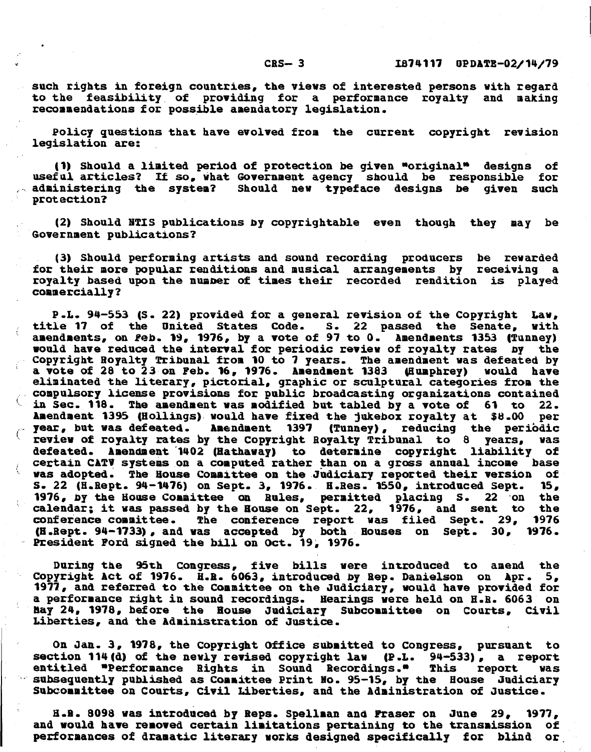such rights in foreign countries, the views of interested persons with regard to the feasibility of providing for **a** performance royalty and making recommendations for possible amendatory legislation.

Policy questions that have evolved from the current copyright revision legislation are:

(1) Should a limited period of protection be given "original" designs of useful articles? If so, what Government agency should be responsible for administering the system? Should new typeface designs be given such protection?

(2) Should **NTIS** publications **by** copyrightable even though they may be Government publications?

**(3)** Should performing artists and sound recording producers be rewarded for their more popular renditions and musical arrangements **by** receiving a royalty based upon the number of times their recorded rendition is played commercially?

P.L. **94-553 (S.** 22) provided for a general revision of the Copyright Law, title **17** of the United States Code. **S.** 22 passed the Senate, with "amendments, on Feb. **19, 1976, by** a vote of **97** to **0.** Amendments **1353** (Tunney) would have reduced the interval for periodic review of royalty rates by Copyright Royalty Tribunal from **10** to **7** years. The amendment was defeated **by** a vote of 28 to **23** on Feb. **16, 1976.** Amendment **1383** (Humphrey) would have eliminated the literary, pictorial, graphic or sculptural categories from the compulsory license provisions for public broadcasting organizations contained in Sec. **118.** The amendment was modified but tabled **by** a vote of **61** to 22. **Amendment 1395 (Hollings) would have fixed the jukebox royalty at \$8.00** Year, but was defeated. Amendment **1397** (Tunney), reducing the periodic review of royalty rates **by** the Copyright Royalty Tribunal to **8** years, was defeated. Amendment 1402 (Hathaway) to determine copyright liability of certain **CATV** systems on a computed rather than on a gross annual income base was adopted. The House Committee on the Judiciary reported their version of S. 22 (H.Rept. 94-1476) on Sept. **3, 1976.** H.Res. **1550,** introduced Sept. **15, 1976, by** the House Committee **on** Rules, permitted placing **S.** 22 \*on the 1976, by the House Committee on Rules, permitted placing S. 22 on the calendar; it was passed by the House on Sept. 22, 1976, and sent to the conference report was filed Sept. 29. 1976 conference committee. The conference report was filed Sept. 29, (H.Rept. **94-1733),** and was accepted **by** both Houses on Sept. **30, 1976.** President Ford signed the **bill** on Oct. **19, 1976.**

During the 95th Congress, five bills were introduced to amend the Copyright Act of **1976.** H.R. **6063,** introduced **by** Rep. Danielson on Apr. **5,** 1977, and referred to the Committee on the Judiciary, would have provided for a performance right in sound recordings. Hearings were held on H.R. **6063** on Bay 24, **1978,** before the House Judiciary Subcommittee on Courts, Civil Liberties, and the Administration of Justice.

**On** Jan. **3, 1978,** the Copyright Office submitted to Congress, pursuant to section 114(d) of the newly revised copyright law (P.L. 94-533), a report<br>entitled "Performance Rights in Sound Recordings." This report was entitled \*Performance Rights in Sound Recordings.\* Subsequently published as Committee Print No. **95-15, by** the House Judiciary Subcommittee on Courts, Civil Liberties, and the Administration of Justice.

**H.9. 8098** was introduced **by** Reps. Spellman and Fraser on June **29, 1977,** and would have removed certain limitations pertaining to the transmission of performances of dramatic literary works designed specifically for blind or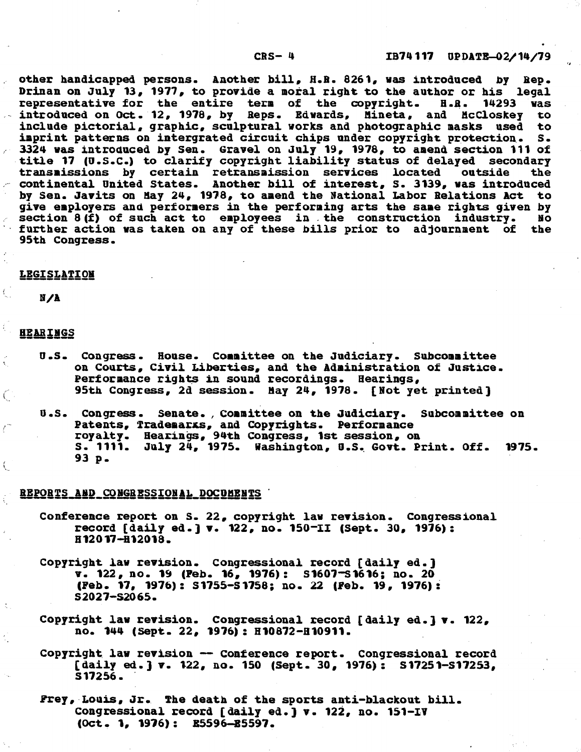#### CRS- *4*

other handicapped persons. Another bill, **H.B. 8261,** was introduced **by** Rep. Drinan on July 13, 1977, to provide a moral right to the author or his legal<br>representative for the entire term of the copyright. H.R. 14293 was representative for the entire term of the copyright. **B.R. 14293** was introduced on Oct. 12, **1978, by** Reps. Edwards, Mineta, and McCloskey to include pictorial, graphic, sculptural works and photographic masks used to<br>imprint patterns on intergrated circuit chips under copyright protection. S. imprint patterns on intergrated circuit chips under copyright protection. 3324 was introduced **by** Sen. Gravel on July **19, 1978,** to amend section 111 of title **17 (U.S.C.)** to clarify copyright liability status of delayed secondary transmissions by certain retransmission services located continental United States. Another bill of interest, **S. 3139,** was introduced **by** Sen. Javits on May 24, **1978,** to amend the National Labor Relations Act to give employers and performers in the performing arts the same rights given **by** section **8(f)** of such act to employees in the construction industry. **No** further action was taken on any of these bills prior to adjournment of the 95th Congress.

#### **LEGISLATION**

**N/A**

#### **HEARINGS**

Ĺ.

ţ.

- U.S. Congress. House. Committee on the Judiciary. Subcommittee on Courts, Civil Liberties, and the Administration of Justice. Performance rights in sound recordings. Hearings, 95th Congress, 2d session. May 24, **1978.** [Not yet printed]
- U.S. Congress. Senate., Committee on the Judiciary. Subcommittee on Patents, Trademarxs, and Copyrights. Performance royalty. Hearings, 94th Congress, **1st** session, on **S. 1111.** July 24, **1975.** Washington, **U.S.** Govt. Print. **Off. 1975. 93 p.**

#### REPORTS **AND** CONGRESSIONAL **DOCUMENTS** '

- Conference report on **S.** 22, copyright law revision. Congressional record [daily **ed.]** v. 122, no. 150-I1 (Sept. **30, 1976): H12017-H12018.**
- Copyright law revision. Congressional record [daily ed.] v. 122, no. **19** (Feb. 16, **1976): S1607-S1616;** no. 20 (Feb. **17, 1976): S1755-S1758;** no. 22 (Feb. **19, 1976): S2027-S2065.**
- Copyright law revision. Congressional record [daily ed.] v. 122, no. 144 (Sept. 22, **1976): H10872-H10911.**
- Copyright law revision **-** Conference report. Congressional record [daily ed.] v. 122, no. **150** (Sept. **30, 1976): S17251-S17253, S17256.**
- Prey, Louis, Jr. The death of the sports anti-blackout bill. Congressional record [daily ed.] v. **122,** no. 151-IV (Oct. **1, 1976): E5596-B5597.**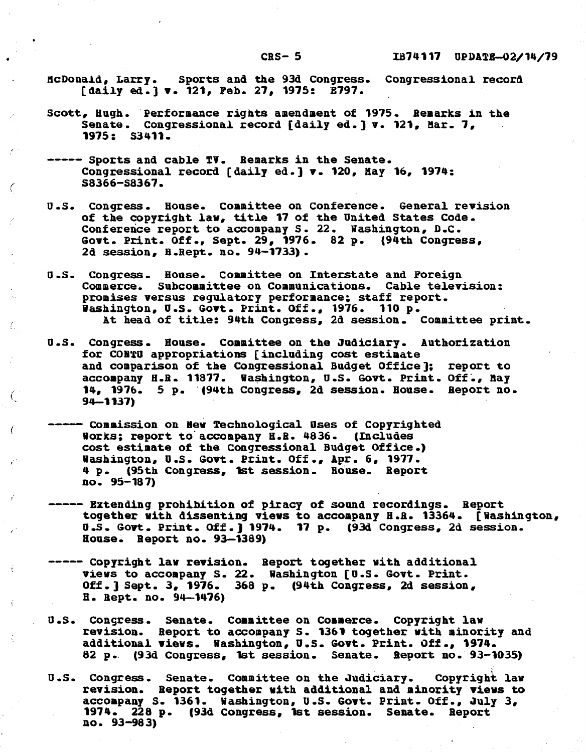#### $CRS - 5$

- McDonald, Larry. Sports and the **93d** Congress. Congressional record [daily ed.] v. 121, Feb. **27, 1975: E797.**
- Scott, Hugh. Performance rights amendment of **1975.** Remarks in the Senate. Congressional record [daily ed.] v. 121, Mar. **7, 1975: S3411.**
- **-----** Sports and cable TV. Remarks in the Senate. Congressional record [daily ed.] v. 120, Hay **16,** 1974: S8366-S8367.

C

 $\mathcal{C}$ 

Ċ

- U.S. Congress. House. Committee on Conference. General revision of the copyright law, title **17** of the United States Code. Conference report to accompany S. 22. Washington, **D.C.** Govt. Print. **Off.,** Sept. **29, 1976.** 82 **p.** (94th Congress, **2d** session, H.Rept. no. **94-1733).**
- U.S. Congress. House. Committee on Interstate and Foreign Commerce. Subcommittee on Communications. Cable television: promises versus regulatory performance; staff report. Washington, U.S. Govt. Print. **Off., 1976. 110 p.** At head of title: 94th Congress, **2d** session. Committee print.
- **U.S.** Congress. House. Committee on the Judiciary. Authorization for **COBtO** appropriations [including cost estimate and comparison of the Congressional Budget Office]; report to accompany H.R. 11877. Washington, U.S. Govt. Print. Off., May 14, **1976. 5 p.** (94th Congress, **2d** session. House. Report no. **94-1137)**
- **---** ommission **on** New Technological Uses of Copyrighted Works; report to accompany H.R. 4836. (Includes cost estimate of the Congressional Budget Office.) Washington, **U.S.** Govt. Print. **Off.,** Apr. **6, 1977. 4 p.** (95th Congress, 1st session. House. Report no. **95-187)**
- **-----** Extending prohibition of piracy of sound recordings. Report together with dissenting views to accompany **H.R.** 13364. [Washington, **U.S.** Govt. Print. **Off.)** 1974. **17 p. (93d** Congress, **2d** session. House. Report no. **93-1389)**
- **---** Copyright law revision. Report together with additional views to accompany **S.** 22. Washington **[D.S.** Govt. Print. **Off.]** Sept. **3, 1976. 368 p.** (94th Congress, **2d** session, **H.** Rept. no. 94-1476)
- U.S. Congress. Senate. Committee on Commerce. Copyright law revision. Report to accompany **S. 1361** together with minority and additional views. Washington, **U.S.** Govt. Print. **Off.,** 1974. **82 p. (93d** Congress, 1st session. Senate. Report no. **93-1035)**
- **U.S.** Congress. Senate. Committee on the Judiciary. Copyright law revision. Report together with additional and minority views to accompany **S. 1361.** Washington, **U.S.** Govt. Print. **Off.,** July **3,** 1974. 228 **p. (93d** Congress, Ist session. Senate. Report no. **93-983)**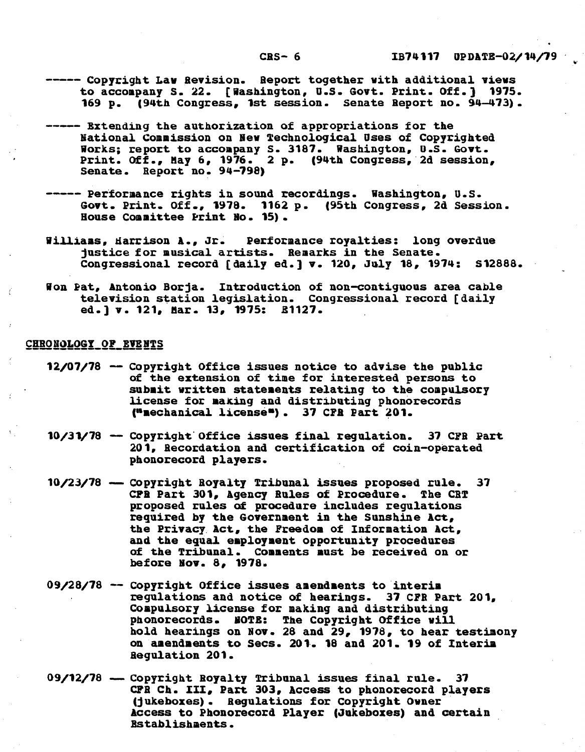- **----** Copyright Law Revision. Report together with additional views to accompany **S.** 22. [Washington, **U.S.** Govt. Print. **Off.) 1975. 169 p.** (94th Congress, **1st** session. Senate Report no. 94-473).
- **-----** Extending the authorization of appropriations for the National Commission on New Technological Uses of Copyrighted Works; report to accompany **S. 3187.** Washington, **U.S.** Govt. Print. **Off.,** May **6, 1976.** 2 **p.** (94th Congress, 2d session, Senate. Report no. **94-798)**
- **-----** Performance rights in sound recordings. Washington, **U.S.** Govt. Print. **Off., 1978. 1162 p.** (95th Congress, **2d** Session. House Committee Print No. **15).**
- Williams, Harrison **A.,** Jr. Performance royalties: long overdue justice for musical artists. Remarks in the Senate. Congressional record [daily ed.] v. 120, **July 18,** 1974: **S12888.**
- Won Pat, Antonio Borja. Introduction of non-contiguous area cable television station legislation. Congressional record [daily ed.] v. 121, Mar. **13, 1975: £1127.**

#### CHRONOLOGY OF **EVENTS**

- **12/07/78 -** Copyright Office issues notice to advise the public of the extension of time for interested persons to submit written statements relating to the compulsory license for making and distributing phonorecords ("mechanical licenses). **37 CPF** Part 201.
- **10/31/78 -** Copyright Office issues final regulation. **37 CFB** Part 201, Becordation and certification of coin-operated phonorecord players.
- **10/23/78 -** Copyright Royalty Tribunal issues proposed rule. **37** CFR Part 301, Agency Rules of Procedure. The CRT proposed rules of procedure includes regulations required **by** the Government in the Sunshine Act, the Privacy. Act, the Freedom of Information Act, of the Tribunal. Comments must be received on or before Nov. 8, **1978.**
- 09/28/78 -- Copyright Office issues amendments to interim regulations and notice of hearings. **37 CPR** Part 201, phonorecords. NOTE: The Copyright Office will hold hearings on Nov. 28 and **29, 1978,** to hear testimony on amendments to Secs. 201. **18** and 201. **19** of Interim Regulation 201.
- **09/12/78**  Copyright Royalty Tribunal issues final rule. **<sup>37</sup> CPB Ch. III,** Part **303,** Access to phonorecord players (jukeboxes). Regulations for Copyright Owner Access to Phonorecord Player (Jukeboxes) and certain Establishments.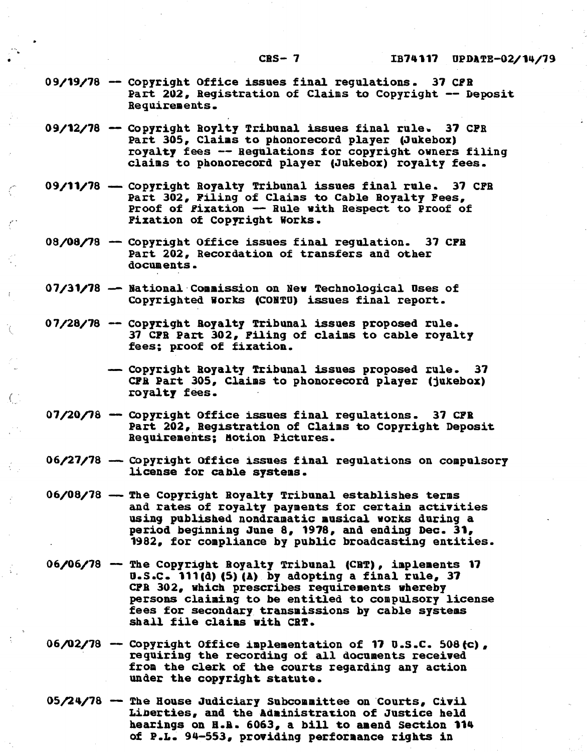- **09/19/78 -** Copyright Office issues final regulations. **37 CPR** Part 202, Registration of Claims to Copyright **--** Deposit Requirements.
- **09/12/78 -** Copyright Roylty Tribunal issues final rule **37** CPR Part 305, Claims to phonorecord player (Jukebox) royalty fees **--** Regulations for copyright owners filing claims to phonorecord player (Jukebox) royalty fees.
- **09/11/78 -** Copyright Royalty Tribunal issues final rule. **37 CFB** Copyright Royalty Tribunal issues final rule. 37 CFR<br>Part 302, Filing of Claims to Cable Royalty **Fees**, Proof of Fixation **-** Rule with Respect to Proof of Fixation of Copyright Works.
- **08/08/78 -** Copyright Office issues final regulation. **37 CPR** Copyright Office issues final regulation. 37 CPR<br>Part 202, Recordation of transfers and other documents.
- 07/31/78 National Commission on New Technological Uses of Copyrighted Works **(CONTU)** issues final report.
- 07/28/78 -- Copyright Royalty Tribunal issues proposed rule. **37 CFR** Part **302,** Filing of claims to cable royalty fees; proof of fixation.

 $\left(\begin{array}{c} 1 \end{array}\right)$ 

- Copyright Royalty Tribunal issues proposed rule. **<sup>37</sup> CPR** Part **305,** Claims to phonorecord player (jukebox) royalty fees.
- **07/20/78 -** Copyright Office issues final regulations. **37** CFR Part 202, Registration of Claims to Copyright Deposit Requirements; notion Pictures.
- **06/27/78 -** Copyright Office issues final regulations on compulsory license for cable systems.
- **06/08/78 -** The Copyright Royalty Tribunal establishes terms and rates of royalty payments for certain activities using published nondramatic musical works during a period beginning June **8, 1978,** and ending Dec. **31, 1982,** for compliance **by** public broadcasting entities.
- **06/06/78**  The Copyright Boyalty Tribunal **(CBT),** implements **17 U.S.C. 111(d)(5)(A) by** adopting a final rule, **<sup>37</sup> CPR 302,** which prescribes requirements whereby persons claiming to be entitled to compulsory license fees for secondary transmissions **by** cable systems shall file claims with **CRT.**
- **06/02/78 -** Copyright office implementation of **17 U.S.C.** 508 c), requiring the recording of all documents received from the clerk of the courts regarding any action under the copyright statute.
- 05/24/78 **-** The House Judiciary Subcommittee on Courts, Civil Liberties, and the Administration of Justice held hearings on **H.R. 6063,** a bill to amend Section 114 of P.L. 94-553, providing performance rights in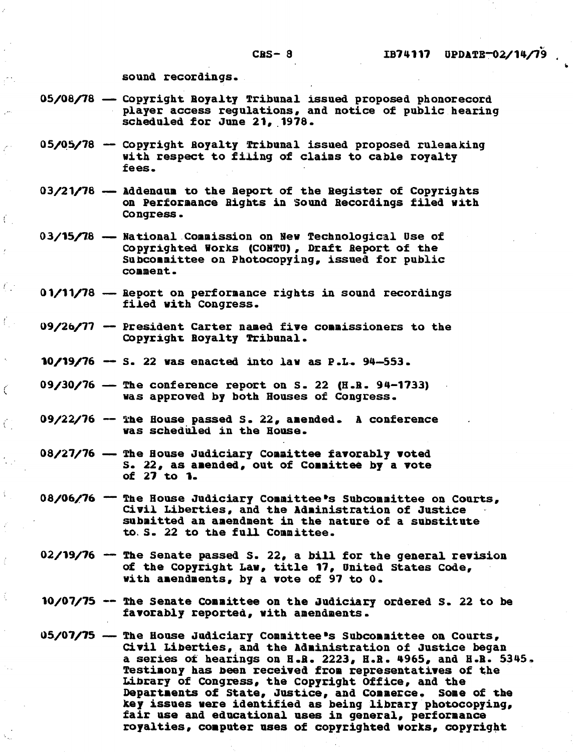sound recordings.

 $\bar{t}$ 

 $\int_{\mathbb{R}^3}$ 

 $\mathcal{E}_{\mathcal{A}}$ 

Ć

Ĉ

- **05/08/78 -** Copyright Royalty Tribunal issued proposed phonorecord player access regulations, and notice of public hearing scheduled for June 21, 1978.
- **05/05/78 -** Copyright Royalty Tribunal issued proposed rulemaking with respect to filing of claims to cable royalty fees.
- 03/21/78 **--** Addendum to the Report of the Register of Copyrights on Performance Rights in Sound Recordings filed with Congress.
- 03/<mark>15/78 National Commission on New Technological Use of</mark> Copyrighted Works **(CONTU),** Draft Report of the Subcommittee on Photocopying, issued for public **comment.**
- **01/11/78 -** Report on performance rights in sound recordings filed with Congress.
- **09/26/77 -** President Carter named five commissioners to the Copyright Royalty Tribunal.
- **10/19/76 - S.** 22 was enacted into law as P.L. 94-553.
- **09/30/76 -** The conference report on **S.** 22 (H.B. **94-1733)** was approved **by** both Houses of Congress.
- **09/22/76 -** the House passed **S.** 22, amended. **A** conference was scheduled in the House.
- 08/27/76 The House Judiciary Committee favorably voted **S. 22,** as amended, out of Committee **by** a vote of **27** to **1.**
- 08/06/76 <sup>--</sup> The House Judiciary Committee's Subcommittee on Courts, Civil Liberties, and the Administration of Justice submitted an amendment in the nature of a substitute to. **S.** 22 to the full Committee.
- 02/19/76 **--** The Senate passed S. 22, a bill for the general revision of the Copyright Law, title **17,** United States Code, with amendments, **by** a vote of **97** to **0.**
- **10/07/75** -- The Senate Committee on the Judiciary ordered **S.** 22 to be favorably reported, with amendments.
- 05/0<mark>7/75 -- The House Judiciary Committee's Subcommittee on Courts,</mark> Civil Liberties, and the Administration of Justice began a series of hearings on H.R. **2223,** H.R. 4965, and H.R. **5345,** Testimony has been received from representatives of the Library of Congress, the Copyright Office, and the Departments of State, Justice, and Commerce, Some of the key issues were identified as being library photocopying, fair use and educational uses in general, performance royalties, computer uses of copyrighted works, copyright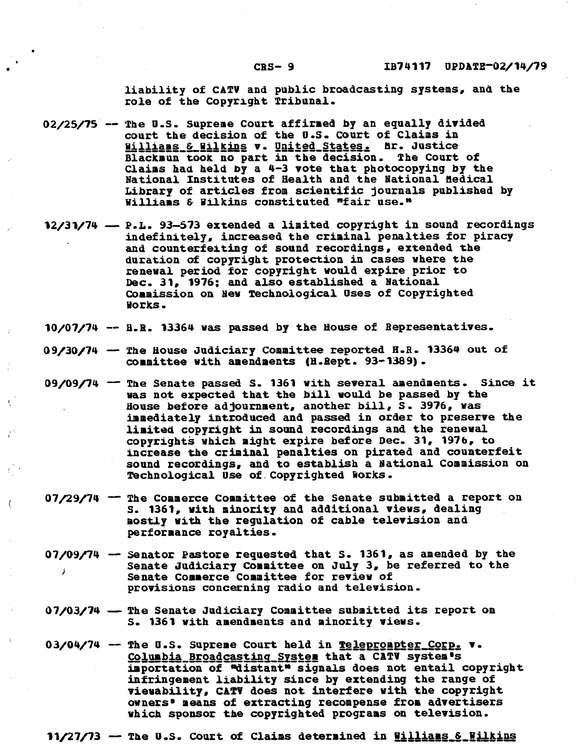liability of **CATV** and public broadcasting systems, and the role of the Copyright Tribunal.

- **02/25/75** -- The **U.S.** Supreme Court affirmed **by** an equally divided court the decision of the **U.S.** Court of Claims in Williams **&** Willins v. United States. **hr.** Justice Blackaun took no part in the decision. The Court of Claims had held **by** a 4-3 vote that photocopying **by** the National Institutes of Health and the National Medical Library of articles from scientific journals published **by** Williams **&** Wilkins constituted "fair use."
- **12/31/74 P.L. 93-573 extended a limited copyright in sound recordings** indefinitely, increased the criminal penalties for piracy and counterfeiting of sound recordings, extended the duration of copyright protection in cases where the renewal period for copyright would expire prior to Dec. **31, 1976;** and also established a National Commission on New Technological Uses of Copyrighted Works.
- 10/07/74 -- B.R. 13364 was passed by the House of Representatives.
- **09/30/74 -** The House Judiciary Committee reported H.R. 13364 out of committee with amendments (H.Rept. **93-1389).**
- 09/09/74 <sup>--</sup> The Senate passed S. 1361 with several amendments. Since it was not expected that the **bill** would be passed **by** the House before adjournment, another bill, **S.** 3976, was immediately introduced and passed in order to preserve the limited copyright in sound recordings and the renewal copyrights which might expire before Dec. **31, 1976,** to increase the criminal penalties on pirated and counterfeit sound recordings, and to establish a National Commission on Technological Use of.Copyrighted Works.
- **07/29/74 -** The Commerce Committee of the Senate submitted a report on **S.** 1361, with minority and additional views, dealing mostly with the regulation of cable television and performance royalties.
- **07/09/74 -** Senator Pastore requested that **S. 1361,** as amended **by** the Senate Judiciary Committee on **July** 3, be referred to the Senate Commerce Committee for review of provisions concerning radio and television.
- 07/03/74 The Senate Judiciary Committee submitted its report on **S. 1361** with amendments and minority views.
- 03/04/74 The U.S. Supreme Court held in **Teleprompter\_Corp. v** Columbia Broadcastina \_Sstem that a **CATV** system **<sup>s</sup>** importation of "distant" signals does not entail copyright infringement liability since **by** extending the range of viewability, **CATV** does not interfere with the copyright owners' means of extracting recompense from advertisers which sponsor the copyrighted programs on television.

**11/27/73 -- The U.S. Court of Claims determined in Williams & Wilkins**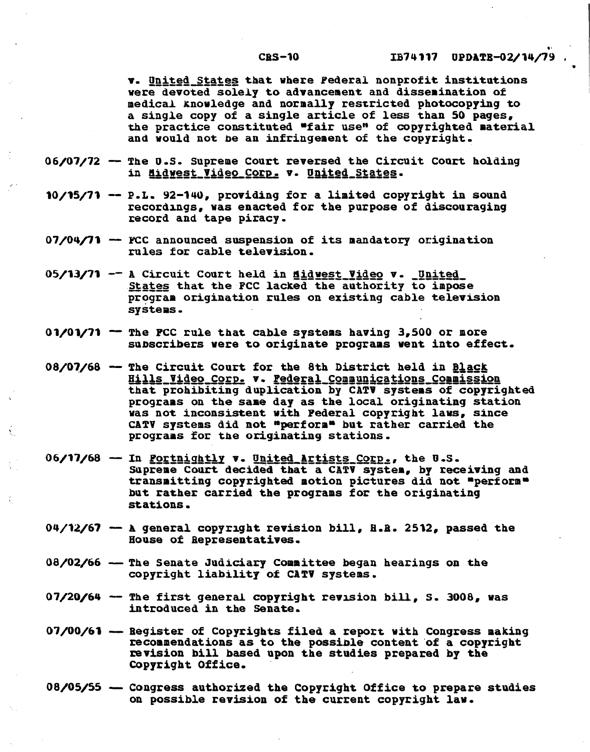**v.** United States that where Federal nonprofit institutions were devoted solely to advancement and dissemination of medical knowledge and normally restricted photocopying to a single copy of a single article of less than **50** pages, the practice constituted "fair use" of copyrighted material and would not be an infringement of the copyright.

- 06/07/72 The U.S. Supreme Court reversed the Circuit Court holding in Midwest Video Corp. v. United States.
- **10/15/71 -** P.L. 92-140, providing for a limited copyright in sound recordings, was enacted for the purpose of discouraging record and tape piracy.
- **07/04/71 - FCC** announced suspension of its mandatory origination rules for cable television.
- **05/13/71 --** A Circuit Court held in didwest Video v. United States that the **FCC** lacked the authority to impose program origination rules on existing cable television systems.
- **001/1/71 -** The **FCC** rule that cable systems having **3,500** or more subscribers were to originate programs vent into effect.
- 08/07/68 The Circuit Court for the 8th District held in Black Hills Video Corp. v. Federal Communications Commission that prohibiting duplication **by CATV** systems of copyrighted programs on the same day as the local originating station was not inconsistent with Federal copyright laws, since **CATV** systems **did** not "perform\* but rather carried the programs for the originating stations.
- 06/17/68 -- In <u>Portnightly</u> v. United Artists Corp., the U.S. Supreme Court decided that a CATV system, **by** receiving and transmitting copyrighted motion pictures did not "perform" but rather carried the programs for the originating stations.
- 04/12/67 **-** A general copyright revision bill, **H.B. 2512,** passed the House of Representatives.
- **08/02/66 -** The Senate Judiciary Committee began hearings on the copyright liability of **CATV** systems.
- 07/20/64 **-** The first general copyright revision bill, **S. 3008,** was introduced in the Senate.
- **07/00/61 -** Register of Copyrights filed a report with Congress making recommendations as to the possible content of a copyright revision bill based upon the studies prepared **by** the Copyright Office.
- **08/05/55 -** Congress authorized the Copyright Office to prepare studies on possible revision of the current copyright law.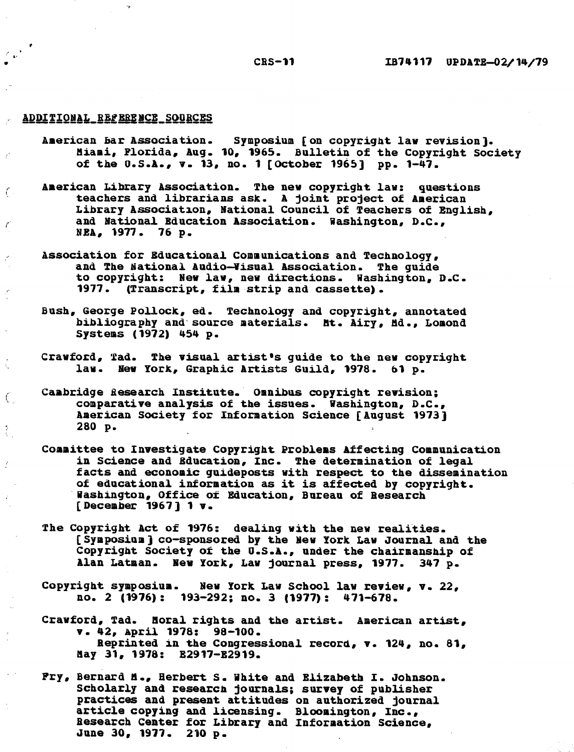#### CRS-11

#### ADDITIONAL REFERENCE SOURCES

 $\epsilon$ 

 $\boldsymbol{\epsilon}$ 

k.

 $\boldsymbol{\beta}$ 

 $C_{\rm c}$ 

Ź

- American bar Association. Symposium [on copyright law revision]. Miami, Florida, Aug. 10, 1965. Bulletin of the Copyright Society of the  $0.5.1.$ , v. 13, no. 1 [October 1965] pp.  $1-\frac{1}{47}$ .
- American Library Association. The new copyright law: questions teachers and librarians ask. A joint project of American Library Association, National Council of Teachers of English, and National Education Association. Washington, D.C., NEA, 1977. 76 p.
- Association for Educational Communications and Technology, and The National Audio-Visual Association. The guide to copyright: New law, new directions. Washington, D.C. 1977. (Transcript, film strip and cassette).
- Bush, George Pollock, ed. Technology and copyright, annotated bibliography and source materials. Mt. Airy, Ad., Lomond Systems (1972) 454 p.
- Cravford, Tad. The visual artist's guide to the new copyright law. New York, Graphic Artists Guild, 1978. 61 p.
- Cambridge Research Institute. Omnibus copyright revision; comparative analysis of the issues. Washington, D.C., American Society for Information Science [August 1973] 280 p.
- Committee to Investigate Copyright Problems Affecting Communication<br>in Science and Education, Inc. The determination of legal facts and economic guideposts with respect to the dissemination of educational information as it is affected by copyright. Washington, Office of Education, Bureau of Research [December 1967] 1 v.
- The Copyright Act of 1976: dealing with the new realities. [Symposium] co-sponsored by the New York Law Journal and the Copyright Society of the U.S.A., under the chairmanship of Alan Latman. New York, Law journal press, 1977. 347 p.
- Copyright symposium. New York Law School law review, v. 22, no. 2 **(1976): 193-292;** no. **3 (1977): 471-678.**
- Crawford, Tad. Moral rights and the artist. American artist, v. 42, April 1978: 98-100. Reprinted in the Congressional record, v. 124, no. 81, May 31, 1978: E2917-E2919.
- Pry, Bernard 8., Herbert S. White and Elizabeth I. Johnson. practices and present attitudes on authorized journal<br>article copying and licensing. Bloomington, Inc., Research Center for Library and Information Science, June 30, 1977. 210 p.